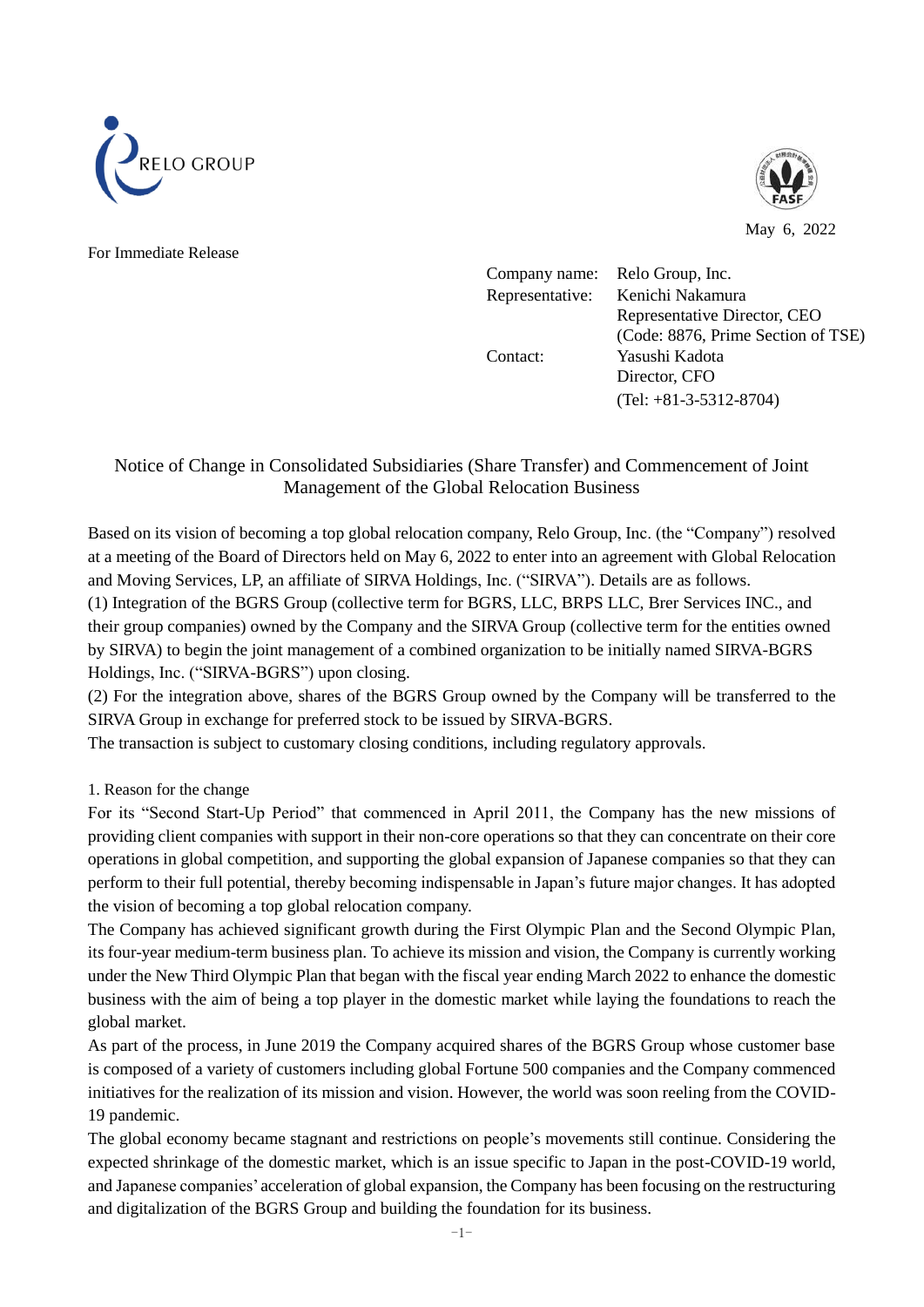



May 6, 2022

For Immediate Release

| Company name:   | Relo Group, Inc.                   |
|-----------------|------------------------------------|
| Representative: | Kenichi Nakamura                   |
|                 | Representative Director, CEO       |
|                 | (Code: 8876, Prime Section of TSE) |
| Contact:        | Yasushi Kadota                     |
|                 | Director, CFO                      |
|                 | $(Tel: +81-3-5312-8704)$           |

## Notice of Change in Consolidated Subsidiaries (Share Transfer) and Commencement of Joint Management of the Global Relocation Business

Based on its vision of becoming a top global relocation company, Relo Group, Inc. (the "Company") resolved at a meeting of the Board of Directors held on May 6, 2022 to enter into an agreement with Global Relocation and Moving Services, LP, an affiliate of SIRVA Holdings, Inc. ("SIRVA"). Details are as follows. (1) Integration of the BGRS Group (collective term for BGRS, LLC, BRPS LLC, Brer Services INC., and their group companies) owned by the Company and the SIRVA Group (collective term for the entities owned by SIRVA) to begin the joint management of a combined organization to be initially named SIRVA-BGRS Holdings, Inc. ("SIRVA-BGRS") upon closing.

(2) For the integration above, shares of the BGRS Group owned by the Company will be transferred to the SIRVA Group in exchange for preferred stock to be issued by SIRVA-BGRS.

The transaction is subject to customary closing conditions, including regulatory approvals.

### 1. Reason for the change

For its "Second Start-Up Period" that commenced in April 2011, the Company has the new missions of providing client companies with support in their non-core operations so that they can concentrate on their core operations in global competition, and supporting the global expansion of Japanese companies so that they can perform to their full potential, thereby becoming indispensable in Japan's future major changes. It has adopted the vision of becoming a top global relocation company.

The Company has achieved significant growth during the First Olympic Plan and the Second Olympic Plan, its four-year medium-term business plan. To achieve its mission and vision, the Company is currently working under the New Third Olympic Plan that began with the fiscal year ending March 2022 to enhance the domestic business with the aim of being a top player in the domestic market while laying the foundations to reach the global market.

As part of the process, in June 2019 the Company acquired shares of the BGRS Group whose customer base is composed of a variety of customers including global Fortune 500 companies and the Company commenced initiatives for the realization of its mission and vision. However, the world was soon reeling from the COVID-19 pandemic.

The global economy became stagnant and restrictions on people's movements still continue. Considering the expected shrinkage of the domestic market, which is an issue specific to Japan in the post-COVID-19 world, and Japanese companies' acceleration of global expansion, the Company has been focusing on the restructuring and digitalization of the BGRS Group and building the foundation for its business.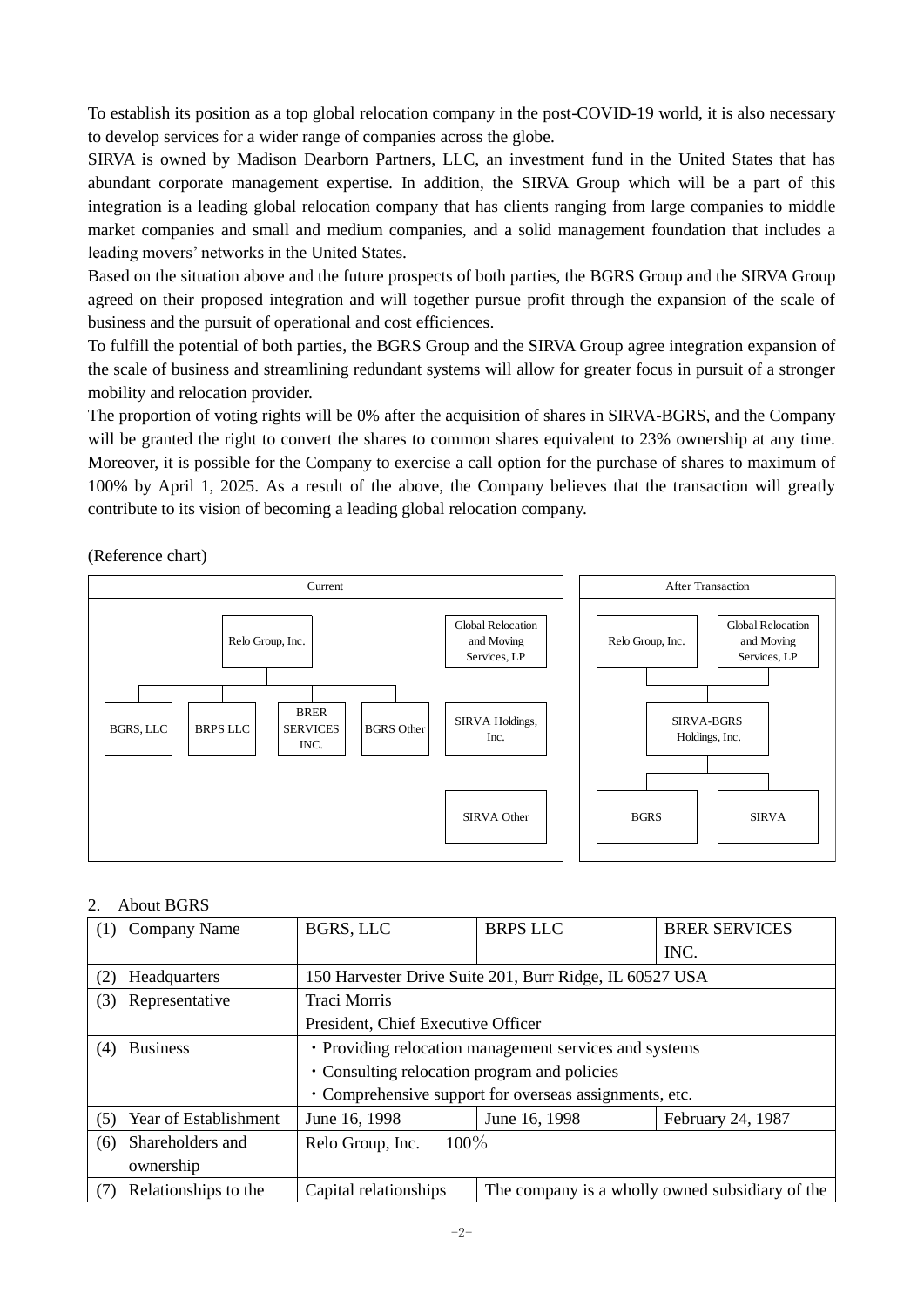To establish its position as a top global relocation company in the post-COVID-19 world, it is also necessary to develop services for a wider range of companies across the globe.

SIRVA is owned by Madison Dearborn Partners, LLC, an investment fund in the United States that has abundant corporate management expertise. In addition, the SIRVA Group which will be a part of this integration is a leading global relocation company that has clients ranging from large companies to middle market companies and small and medium companies, and a solid management foundation that includes a leading movers' networks in the United States.

Based on the situation above and the future prospects of both parties, the BGRS Group and the SIRVA Group agreed on their proposed integration and will together pursue profit through the expansion of the scale of business and the pursuit of operational and cost efficiences.

To fulfill the potential of both parties, the BGRS Group and the SIRVA Group agree integration expansion of the scale of business and streamlining redundant systems will allow for greater focus in pursuit of a stronger mobility and relocation provider.

The proportion of voting rights will be 0% after the acquisition of shares in SIRVA-BGRS, and the Company will be granted the right to convert the shares to common shares equivalent to 23% ownership at any time. Moreover, it is possible for the Company to exercise a call option for the purchase of shares to maximum of 100% by April 1, 2025. As a result of the above, the Company believes that the transaction will greatly contribute to its vision of becoming a leading global relocation company.

(Reference chart)



### 2. About BGRS

| (1) | Company Name          | BGRS, LLC                                               | <b>BRPS LLC</b> | <b>BRER SERVICES</b>                            |
|-----|-----------------------|---------------------------------------------------------|-----------------|-------------------------------------------------|
|     |                       |                                                         |                 | INC.                                            |
| (2) | Headquarters          | 150 Harvester Drive Suite 201, Burr Ridge, IL 60527 USA |                 |                                                 |
| (3) | Representative        | <b>Traci Morris</b>                                     |                 |                                                 |
|     |                       | President, Chief Executive Officer                      |                 |                                                 |
| (4) | <b>Business</b>       | • Providing relocation management services and systems  |                 |                                                 |
|     |                       | • Consulting relocation program and policies            |                 |                                                 |
|     |                       | • Comprehensive support for overseas assignments, etc.  |                 |                                                 |
| (5) | Year of Establishment | June 16, 1998                                           | June 16, 1998   | February 24, 1987                               |
| (6) | Shareholders and      | $100\%$<br>Relo Group, Inc.                             |                 |                                                 |
|     | ownership             |                                                         |                 |                                                 |
| (7) | Relationships to the  | Capital relationships                                   |                 | The company is a wholly owned subsidiary of the |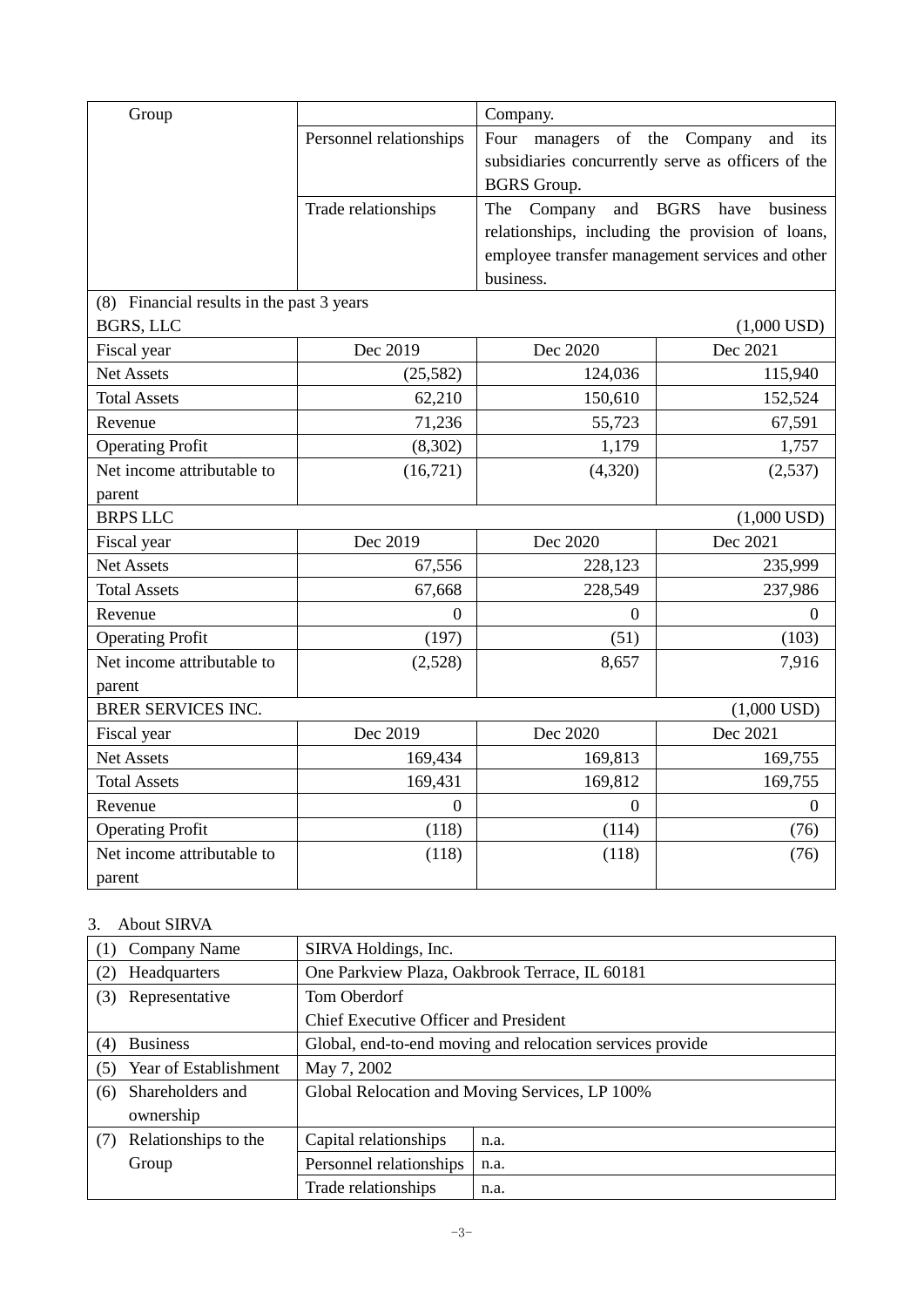| Group                                     |                         | Company.           |                                                    |
|-------------------------------------------|-------------------------|--------------------|----------------------------------------------------|
|                                           | Personnel relationships | Four managers      | of the Company<br>and its                          |
|                                           |                         |                    | subsidiaries concurrently serve as officers of the |
|                                           |                         | <b>BGRS</b> Group. |                                                    |
|                                           | Trade relationships     | and<br>The Company | <b>BGRS</b><br>have<br>business                    |
|                                           |                         |                    | relationships, including the provision of loans,   |
|                                           |                         |                    | employee transfer management services and other    |
|                                           |                         | business.          |                                                    |
| (8) Financial results in the past 3 years |                         |                    |                                                    |
| BGRS, LLC                                 |                         |                    | $(1,000$ USD)                                      |
| Fiscal year                               | Dec 2019                | Dec 2020           | Dec 2021                                           |
| <b>Net Assets</b>                         | (25,582)                | 124,036            | 115,940                                            |
| <b>Total Assets</b>                       | 62,210                  | 150,610            | 152,524                                            |
| Revenue                                   | 71,236                  | 55,723             | 67,591                                             |
| <b>Operating Profit</b>                   | (8,302)                 | 1,179              | 1,757                                              |
| Net income attributable to                | (16, 721)               | (4,320)            | (2,537)                                            |
| parent                                    |                         |                    |                                                    |
| <b>BRPS LLC</b>                           |                         |                    | $(1,000$ USD)                                      |
| Fiscal year                               | Dec 2019                | Dec 2020           | Dec 2021                                           |
| Net Assets                                | 67,556                  | 228,123            | 235,999                                            |
| <b>Total Assets</b>                       | 67,668                  | 228,549            | 237,986                                            |
| Revenue                                   | $\overline{0}$          | $\overline{0}$     | $\Omega$                                           |
| <b>Operating Profit</b>                   | (197)                   | (51)               | (103)                                              |
| Net income attributable to                | (2,528)                 | 8,657              | 7,916                                              |
| parent                                    |                         |                    |                                                    |
| <b>BRER SERVICES INC.</b>                 |                         |                    | $(1,000$ USD)                                      |
| Fiscal year                               | Dec 2019                | Dec 2020           | Dec 2021                                           |
| <b>Net Assets</b>                         | 169,434                 | 169,813            | 169,755                                            |
| <b>Total Assets</b>                       | 169,431                 | 169,812            | 169,755                                            |
| Revenue                                   | $\Omega$                | $\Omega$           | $\Omega$                                           |
| <b>Operating Profit</b>                   | (118)                   | (114)              | (76)                                               |
| Net income attributable to                | (118)                   | (118)              | (76)                                               |
| parent                                    |                         |                    |                                                    |

# 3. About SIRVA

| (1) | Company Name          | SIRVA Holdings, Inc.                                      |      |  |
|-----|-----------------------|-----------------------------------------------------------|------|--|
| (2) | Headquarters          | One Parkview Plaza, Oakbrook Terrace, IL 60181            |      |  |
| (3) | Representative        | Tom Oberdorf                                              |      |  |
|     |                       | Chief Executive Officer and President                     |      |  |
| (4) | <b>Business</b>       | Global, end-to-end moving and relocation services provide |      |  |
| (5) | Year of Establishment | May 7, 2002                                               |      |  |
| (6) | Shareholders and      | Global Relocation and Moving Services, LP 100%            |      |  |
|     | ownership             |                                                           |      |  |
| (7) | Relationships to the  | Capital relationships                                     | n.a. |  |
|     | Group                 | Personnel relationships                                   | n.a. |  |
|     |                       | Trade relationships                                       | n.a. |  |